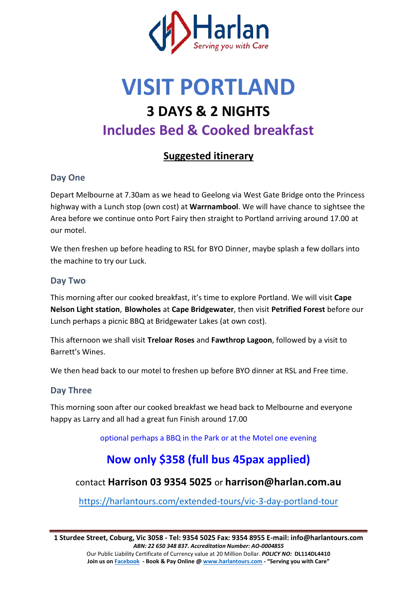

# **VISIT PORTLAND 3 DAYS & 2 NIGHTS Includes Bed & Cooked breakfast**

## **Suggested itinerary**

## **Day One**

Depart Melbourne at 7.30am as we head to Geelong via West Gate Bridge onto the Princess highway with a Lunch stop (own cost) at **Warrnambool**. We will have chance to sightsee the Area before we continue onto Port Fairy then straight to Portland arriving around 17.00 at our motel.

We then freshen up before heading to RSL for BYO Dinner, maybe splash a few dollars into the machine to try our Luck.

#### **Day Two**

This morning after our cooked breakfast, it's time to explore Portland. We will visit Cape **Nelson Light station**, **Blowholes** at **Cape Bridgewater**, then visit **Petrified Forest** before our Lunch perhaps a picnic BBQ at Bridgewater Lakes (at own cost).

This afternoon we shall visit **Treloar Roses** and **Fawthrop Lagoon**, followed by a visit to Barrett's Wines.

We then head back to our motel to freshen up before BYO dinner at RSL and Free time.

## **Day Three**

This morning soon after our cooked breakfast we head back to Melbourne and everyone happy as Larry and all had a great fun Finish around 17.00

optional perhaps a BBQ in the Park or at the Motel one evening

## **Now only \$358 (full bus 45pax applied)**

## contact **Harrison 03 9354 5025** or **harrison@harlan.com.au**

<https://harlantours.com/extended-tours/vic-3-day-portland-tour>

Our Public Liability Certificate of Currency value at 20 Million Dollar. *POLICY NO:* **DL114DL4410 Join us on Facebook** - Book & Pay Online [@ www.harlantours.com -](http://www.harlantours.com/) "Serving you with Care"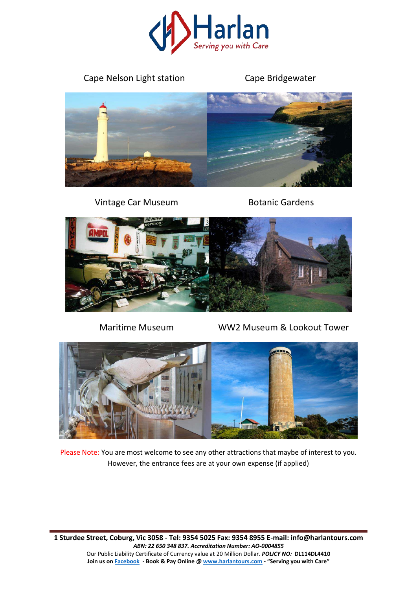

## Cape Nelson Light station Cape Bridgewater



Vintage Car Museum Botanic Gardens



Maritime Museum WW2 Museum & Lookout Tower



Please Note: You are most welcome to see any other attractions that maybe of interest to you. However, the entrance fees are at your own expense (if applied)

**1 Sturdee Street, Coburg, Vic 3058 - Tel: 9354 5025 Fax: 9354 8955 E-mail: info@harlantours.com**  *ABN: 22 650 348 837. Accreditation Number: AO-0004855* 

Our Public Liability Certificate of Currency value at 20 Million Dollar. *POLICY NO:* **DL114DL4410** Join us on **Facebook** - Book & Pay Online [@ www.harlantours.com -](http://www.harlantours.com/) "Serving you with Care"